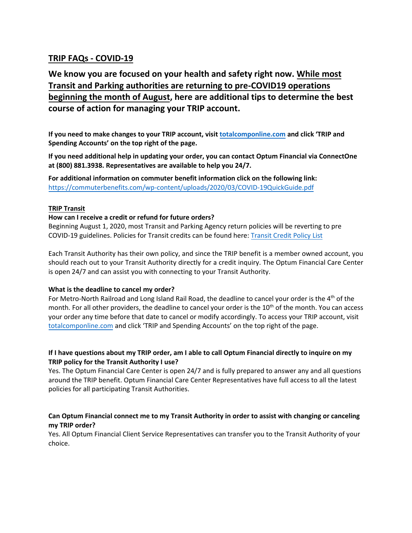## **TRIP FAQs - COVID-19**

# **We know you are focused on your health and safety right now. While most Transit and Parking authorities are returning to pre-COVID19 operations beginning the month of August, here are additional tips to determine the best course of action for managing your TRIP account.**

**If you need to make changes to your TRIP account, visi[t totalcomponline.com](http://www.totalcomponline.com/) and click 'TRIP and Spending Accounts' on the top right of the page.** 

**If you need additional help in updating your order, you can contact Optum Financial via ConnectOne at (800) 881.3938. Representatives are available to help you 24/7.** 

**For additional information on commuter benefit information click on the following link:** [https://commuterbenefits.com/wp-content/uploads/2020/03/COVID-19QuickGuide.pdf](https://urldefense.proofpoint.com/v2/url?u=https-3A__commuterbenefits.com_wp-2Dcontent_uploads_2020_03_COVID-2D19QuickGuide.pdf&d=DwMFAg&c=j-EkbjBYwkAB4f8ZbVn1Fw&r=H25UktgUzGi_sLvbpLYsDj3jFW_z4yr9EHpG_ssqjr0&m=jqUiJKpNlJYUpNlk5xvrJByj64HtvxCENclZEG2C7lw&s=3Wh2zRgmjP21QLvWm_qZp4MmqTzMDW2XNAcoJ5kEVBk&e=)

## **TRIP Transit**

### **How can I receive a credit or refund for future orders?**

Beginning August 1, 2020, most Transit and Parking Agency return policies will be reverting to pre COVID-19 guidelines. Policies for Transit credits can be found here: [Transit Credit Policy List](https://commuterbenefits.com/wp-content/uploads/2020/04/TransitReturnList032020.pdf)

Each Transit Authority has their own policy, and since the TRIP benefit is a member owned account, you should reach out to your Transit Authority directly for a credit inquiry. The Optum Financial Care Center is open 24/7 and can assist you with connecting to your Transit Authority.

### **What is the deadline to cancel my order?**

For Metro-North Railroad and Long Island Rail Road, the deadline to cancel your order is the 4<sup>th</sup> of the month. For all other providers, the deadline to cancel your order is the 10<sup>th</sup> of the month. You can access your order any time before that date to cancel or modify accordingly. To access your TRIP account, visit [totalcomponline.com](http://www.totalcomponline.com/) and click 'TRIP and Spending Accounts' on the top right of the page.

## **If I have questions about my TRIP order, am I able to call Optum Financial directly to inquire on my TRIP policy for the Transit Authority I use?**

Yes. The Optum Financial Care Center is open 24/7 and is fully prepared to answer any and all questions around the TRIP benefit. Optum Financial Care Center Representatives have full access to all the latest policies for all participating Transit Authorities.

## **Can Optum Financial connect me to my Transit Authority in order to assist with changing or canceling my TRIP order?**

Yes. All Optum Financial Client Service Representatives can transfer you to the Transit Authority of your choice.